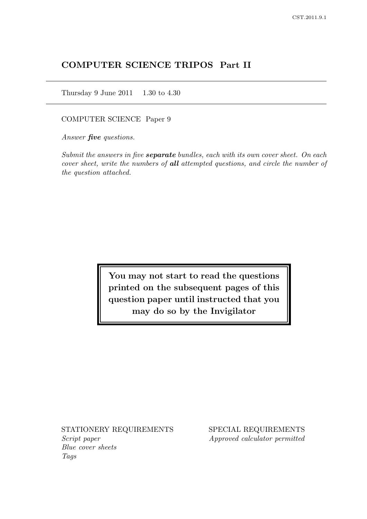# COMPUTER SCIENCE TRIPOS Part II

Thursday 9 June 2011 1.30 to 4.30

COMPUTER SCIENCE Paper 9

Answer **five** questions.

Submit the answers in five **separate** bundles, each with its own cover sheet. On each cover sheet, write the numbers of all attempted questions, and circle the number of the question attached.

> You may not start to read the questions printed on the subsequent pages of this question paper until instructed that you may do so by the Invigilator

Script paper Approved calculator permitted Blue cover sheets Tags

STATIONERY REQUIREMENTS SPECIAL REQUIREMENTS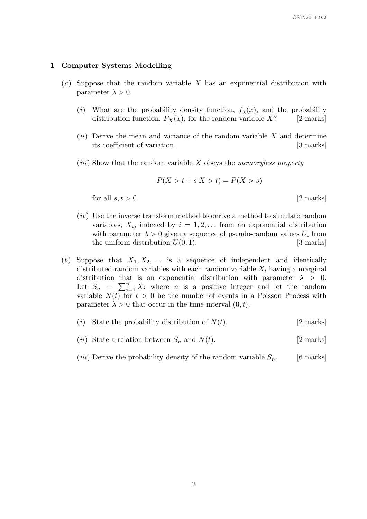#### 1 Computer Systems Modelling

- (a) Suppose that the random variable  $X$  has an exponential distribution with parameter  $\lambda > 0$ .
	- (i) What are the probability density function,  $f_X(x)$ , and the probability distribution function,  $F_X(x)$ , for the random variable X? [2 marks]
	- $(ii)$  Derive the mean and variance of the random variable X and determine its coefficient of variation. [3 marks]
	- (*iii*) Show that the random variable  $X$  obeys the *memoryless property*

$$
P(X > t + s | X > t) = P(X > s)
$$

for all  $s, t > 0$ . [2 marks]

- (iv) Use the inverse transform method to derive a method to simulate random variables,  $X_i$ , indexed by  $i = 1, 2, \ldots$  from an exponential distribution with parameter  $\lambda > 0$  given a sequence of pseudo-random values  $U_i$  from the uniform distribution  $U(0, 1)$ . [3 marks]
- (b) Suppose that  $X_1, X_2, \ldots$  is a sequence of independent and identically distributed random variables with each random variable  $X_i$  having a marginal distribution that is an exponential distribution with parameter  $\lambda > 0$ . Let  $S_n = \sum_{i=1}^n X_i$  where *n* is a positive integer and let the random variable  $N(t)$  for  $t > 0$  be the number of events in a Poisson Process with parameter  $\lambda > 0$  that occur in the time interval  $(0, t)$ .
	- (i) State the probability distribution of  $N(t)$ . [2 marks]
	- (*ii*) State a relation between  $S_n$  and  $N(t)$ . [2 marks]
	- (*iii*) Derive the probability density of the random variable  $S_n$ . [6 marks]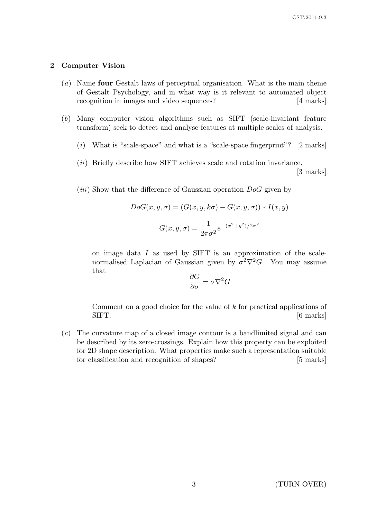### 2 Computer Vision

- (a) Name four Gestalt laws of perceptual organisation. What is the main theme of Gestalt Psychology, and in what way is it relevant to automated object recognition in images and video sequences? [4 marks]
- (b) Many computer vision algorithms such as SIFT (scale-invariant feature transform) seek to detect and analyse features at multiple scales of analysis.
	- $(i)$  What is "scale-space" and what is a "scale-space fingerprint"? [2 marks]
	- (*ii*) Briefly describe how SIFT achieves scale and rotation invariance.

[3 marks]

(*iii*) Show that the difference-of-Gaussian operation  $DoG$  given by

$$
DoG(x, y, \sigma) = (G(x, y, k\sigma) - G(x, y, \sigma)) * I(x, y)
$$

$$
G(x, y, \sigma) = \frac{1}{2\pi\sigma^2} e^{-(x^2 + y^2)/2\sigma^2}
$$

on image data I as used by SIFT is an approximation of the scalenormalised Laplacian of Gaussian given by  $\sigma^2 \nabla^2 G$ . You may assume that

$$
\frac{\partial G}{\partial \sigma} = \sigma \nabla^2 G
$$

Comment on a good choice for the value of  $k$  for practical applications of SIFT. [6 marks]

(c) The curvature map of a closed image contour is a bandlimited signal and can be described by its zero-crossings. Explain how this property can be exploited for 2D shape description. What properties make such a representation suitable for classification and recognition of shapes? [5 marks]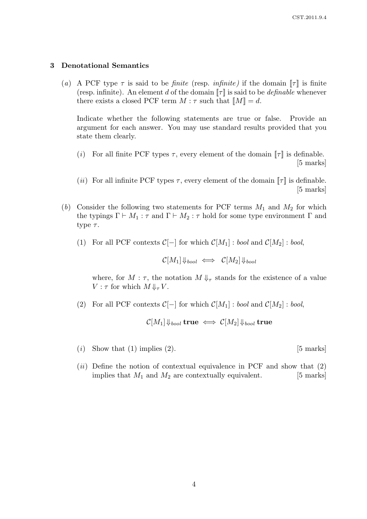### 3 Denotational Semantics

(a) A PCF type  $\tau$  is said to be *finite* (resp. *infinite*) if the domain  $\llbracket \tau \rrbracket$  is finite (resp. infinite). An element d of the domain  $\llbracket \tau \rrbracket$  is said to be definable whenever there exists a closed PCF term  $M : \tau$  such that  $\llbracket M \rrbracket = d$ .

Indicate whether the following statements are true or false. Provide an argument for each answer. You may use standard results provided that you state them clearly.

- (i) For all finite PCF types  $\tau$ , every element of the domain  $\llbracket \tau \rrbracket$  is definable. [5 marks]
- (*ii*) For all infinite PCF types  $\tau$ , every element of the domain  $\llbracket \tau \rrbracket$  is definable. [5 marks]
- (b) Consider the following two statements for PCF terms  $M_1$  and  $M_2$  for which the typings  $\Gamma \vdash M_1 : \tau$  and  $\Gamma \vdash M_2 : \tau$  hold for some type environment  $\Gamma$  and type  $\tau$ .
	- (1) For all PCF contexts  $\mathcal{C}[-]$  for which  $\mathcal{C}[M_1]$  : bool and  $\mathcal{C}[M_2]$  : bool,

$$
\mathcal{C}[M_1]\Downarrow_{bool} \iff \mathcal{C}[M_2]\Downarrow_{bool}
$$

where, for  $M : \tau$ , the notation  $M \Downarrow_{\tau}$  stands for the existence of a value  $V : \tau$  for which  $M \Downarrow_{\tau} V$ .

(2) For all PCF contexts  $\mathcal{C}[-]$  for which  $\mathcal{C}[M_1]$  : bool and  $\mathcal{C}[M_2]$  : bool,

 $\mathcal{C}[M_1]\Downarrow_{bool}$  true  $\iff \mathcal{C}[M_2]\Downarrow_{bool}$  true

- (i) Show that (1) implies (2).  $[5 \text{ marks}]$
- $(ii)$  Define the notion of contextual equivalence in PCF and show that  $(2)$ implies that  $M_1$  and  $M_2$  are contextually equivalent. [5 marks]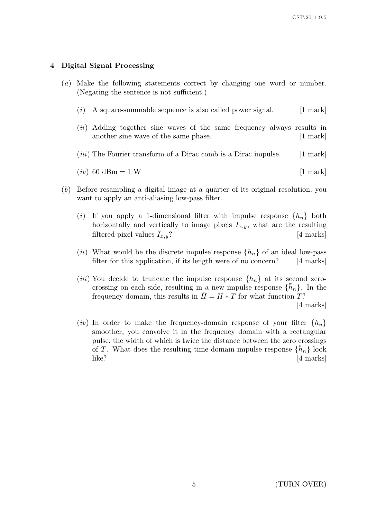## 4 Digital Signal Processing

- (a) Make the following statements correct by changing one word or number. (Negating the sentence is not sufficient.)
	- $(i)$  A square-summable sequence is also called power signal. [1 mark]
	- (*ii*) Adding together sine waves of the same frequency always results in another sine wave of the same phase. [1 mark]
	- (*iii*) The Fourier transform of a Dirac comb is a Dirac impulse.  $[1 \text{ mark}]$

$$
(iv) 60 \text{ dBm} = 1 \text{ W} \tag{1 mark}
$$

- (b) Before resampling a digital image at a quarter of its original resolution, you want to apply an anti-aliasing low-pass filter.
	- (i) If you apply a 1-dimensional filter with impulse response  $\{h_n\}$  both horizontally and vertically to image pixels  $I_{x,y}$ , what are the resulting filtered pixel values  $I_{x,y}$ ? [4 marks]
	- (*ii*) What would be the discrete impulse response  $\{h_n\}$  of an ideal low-pass filter for this application, if its length were of no concern? [4 marks] filter for this application, if its length were of no concern?
	- (*iii*) You decide to truncate the impulse response  $\{h_n\}$  at its second zerocrossing on each side, resulting in a new impulse response  $\{\bar{h}_n\}$ . In the frequency domain, this results in  $\bar{H} = H * T$  for what function T?

[4 marks]

(*iv*) In order to make the frequency-domain response of your filter  $\{\bar{h}_n\}$ smoother, you convolve it in the frequency domain with a rectangular pulse, the width of which is twice the distance between the zero crossings of T. What does the resulting time-domain impulse response  $\{\check{h}_n\}$  look like? [4 marks]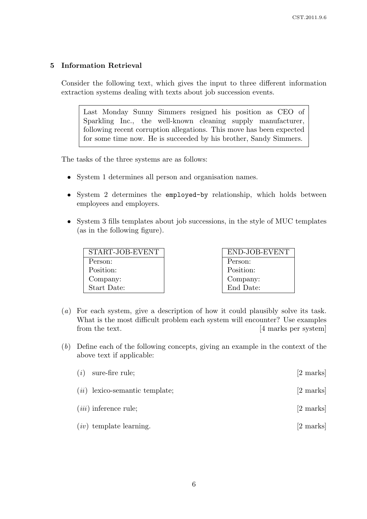# 5 Information Retrieval

Consider the following text, which gives the input to three different information extraction systems dealing with texts about job succession events.

Last Monday Sunny Simmers resigned his position as CEO of Sparkling Inc., the well-known cleaning supply manufacturer, following recent corruption allegations. This move has been expected for some time now. He is succeeded by his brother, Sandy Simmers.

The tasks of the three systems are as follows:

- System 1 determines all person and organisation names.
- System 2 determines the employed-by relationship, which holds between employees and employers.
- System 3 fills templates about job successions, in the style of MUC templates (as in the following figure).

| START-JOB-EVENT | END-JOB-EVENT |
|-----------------|---------------|
| Person:         | Person:       |
| Position:       | Position:     |
| Company:        | Company:      |
| Start Date:     | End Date:     |

- (a) For each system, give a description of how it could plausibly solve its task. What is the most difficult problem each system will encounter? Use examples from the text. [4 marks per system]
- (b) Define each of the following concepts, giving an example in the context of the above text if applicable:

| $(i)$ sure-fire rule;            | [2 marks]           |
|----------------------------------|---------------------|
| $(ii)$ lexico-semantic template; | $[2 \text{ marks}]$ |
| $(iii)$ inference rule;          | [2 marks]           |
| $(iv)$ template learning.        | [2 marks]           |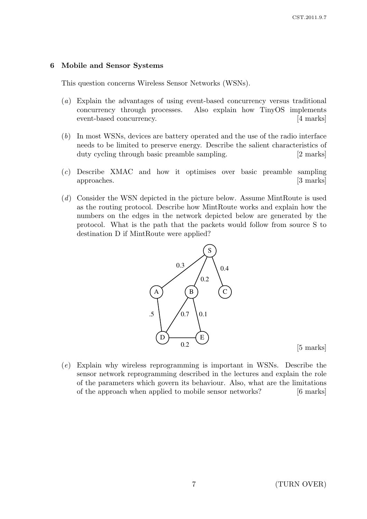### 6 Mobile and Sensor Systems

This question concerns Wireless Sensor Networks (WSNs).

- (a) Explain the advantages of using event-based concurrency versus traditional concurrency through processes. Also explain how TinyOS implements event-based concurrency. [4 marks]
- (b) In most WSNs, devices are battery operated and the use of the radio interface needs to be limited to preserve energy. Describe the salient characteristics of duty cycling through basic preamble sampling. [2 marks]
- (c) Describe XMAC and how it optimises over basic preamble sampling approaches. [3 marks]
- (d) Consider the WSN depicted in the picture below. Assume MintRoute is used as the routing protocol. Describe how MintRoute works and explain how the numbers on the edges in the network depicted below are generated by the protocol. What is the path that the packets would follow from source S to destination D if MintRoute were applied?



[5 marks]

(e) Explain why wireless reprogramming is important in WSNs. Describe the sensor network reprogramming described in the lectures and explain the role of the parameters which govern its behaviour. Also, what are the limitations of the approach when applied to mobile sensor networks? [6 marks]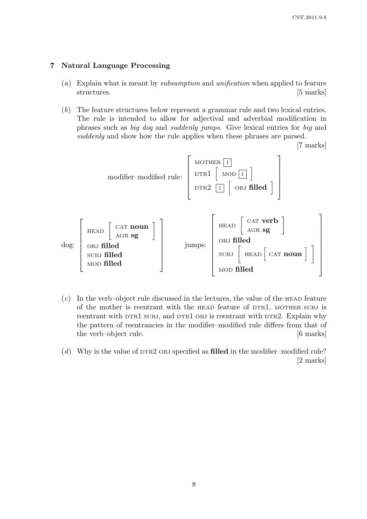## 7 Natural Language Processing

- (a) Explain what is meant by *subsumption* and *unification* when applied to feature structures. [5 marks]
- (b) The feature structures below represent a grammar rule and two lexical entries. The rule is intended to allow for adjectival and adverbial modification in phrases such as big dog and suddenly jumps. Give lexical entries for big and suddenly and show how the rule applies when these phrases are parsed.

[7 marks]



 $(c)$  In the verb–object rule discussed in the lectures, the value of the HEAD feature of the mother is reentrant with the HEAD feature of DTR1, MOTHER SUBJ is reentrant with DTR1 SUBJ, and DTR1 OBJ is reentrant with DTR2. Explain why the pattern of reentrancies in the modifier–modified rule differs from that of the verb–object rule. [6 marks]

(d) Why is the value of  $DTR2$  OBJ specified as **filled** in the modifier–modified rule? [2 marks]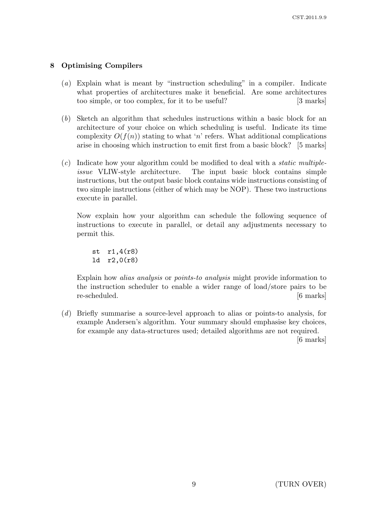# 8 Optimising Compilers

- (a) Explain what is meant by "instruction scheduling" in a compiler. Indicate what properties of architectures make it beneficial. Are some architectures too simple, or too complex, for it to be useful? [3 marks]
- (b) Sketch an algorithm that schedules instructions within a basic block for an architecture of your choice on which scheduling is useful. Indicate its time complexity  $O(f(n))$  stating to what 'n' refers. What additional complications arise in choosing which instruction to emit first from a basic block? [5 marks]
- $(c)$  Indicate how your algorithm could be modified to deal with a *static multiple*issue VLIW-style architecture. The input basic block contains simple instructions, but the output basic block contains wide instructions consisting of two simple instructions (either of which may be NOP). These two instructions execute in parallel.

Now explain how your algorithm can schedule the following sequence of instructions to execute in parallel, or detail any adjustments necessary to permit this.

st r1,4(r8) ld r2,0(r8)

Explain how alias analysis or points-to analysis might provide information to the instruction scheduler to enable a wider range of load/store pairs to be re-scheduled. [6 marks]

(d) Briefly summarise a source-level approach to alias or points-to analysis, for example Andersen's algorithm. Your summary should emphasise key choices, for example any data-structures used; detailed algorithms are not required.

[6 marks]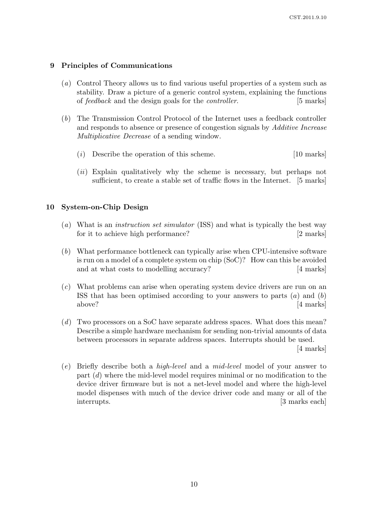### 9 Principles of Communications

- (a) Control Theory allows us to find various useful properties of a system such as stability. Draw a picture of a generic control system, explaining the functions of feedback and the design goals for the controller. [5 marks]
- (b) The Transmission Control Protocol of the Internet uses a feedback controller and responds to absence or presence of congestion signals by Additive Increase Multiplicative Decrease of a sending window.
	- (i) Describe the operation of this scheme. [10 marks]
	- (*ii*) Explain qualitatively why the scheme is necessary, but perhaps not sufficient, to create a stable set of traffic flows in the Internet. [5 marks]

### 10 System-on-Chip Design

- (a) What is an instruction set simulator (ISS) and what is typically the best way for it to achieve high performance? [2 marks]
- (b) What performance bottleneck can typically arise when CPU-intensive software is run on a model of a complete system on chip (SoC)? How can this be avoided and at what costs to modelling accuracy? [4 marks]
- (c) What problems can arise when operating system device drivers are run on an ISS that has been optimised according to your answers to parts  $(a)$  and  $(b)$ above? [4 marks]
- (d) Two processors on a SoC have separate address spaces. What does this mean? Describe a simple hardware mechanism for sending non-trivial amounts of data between processors in separate address spaces. Interrupts should be used. [4 marks]

(e) Briefly describe both a high-level and a mid-level model of your answer to part (d) where the mid-level model requires minimal or no modification to the device driver firmware but is not a net-level model and where the high-level model dispenses with much of the device driver code and many or all of the interrupts. [3 marks each]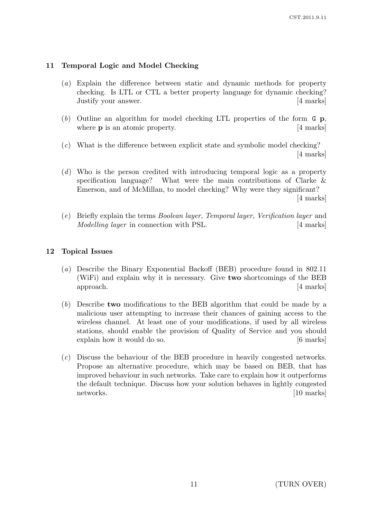# 11 Temporal Logic and Model Checking

- (a) Explain the difference between static and dynamic methods for property checking. Is LTL or CTL a better property language for dynamic checking? Justify your answer. [4 marks]
- (b) Outline an algorithm for model checking LTL properties of the form  $G$  p, where **p** is an atomic property. [4 marks]
- (c) What is the difference between explicit state and symbolic model checking? [4 marks]
- (d) Who is the person credited with introducing temporal logic as a property specification language? What were the main contributions of Clarke & Emerson, and of McMillan, to model checking? Why were they significant? [4 marks]
- (e) Briefly explain the terms Boolean layer, Temporal layer, Verification layer and Modelling layer in connection with PSL. [4 marks]

# 12 Topical Issues

- (a) Describe the Binary Exponential Backoff (BEB) procedure found in 802.11 (WiFi) and explain why it is necessary. Give two shortcomings of the BEB approach. [4 marks]
- (b) Describe two modifications to the BEB algorithm that could be made by a malicious user attempting to increase their chances of gaining access to the wireless channel. At least one of your modifications, if used by all wireless stations, should enable the provision of Quality of Service and you should explain how it would do so. [6 marks]
- (c) Discuss the behaviour of the BEB procedure in heavily congested networks. Propose an alternative procedure, which may be based on BEB, that has improved behaviour in such networks. Take care to explain how it outperforms the default technique. Discuss how your solution behaves in lightly congested networks. [10 marks] [10 marks]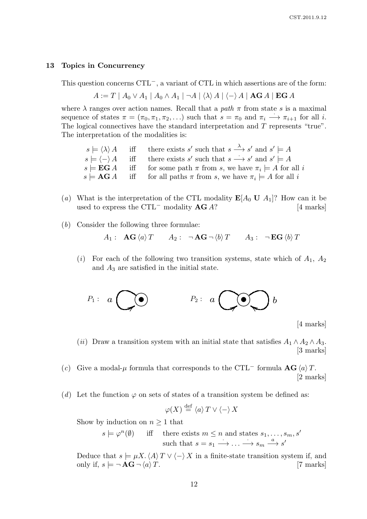#### 13 Topics in Concurrency

This question concerns CTL<sup>−</sup>, a variant of CTL in which assertions are of the form:

$$
A := T | A_0 \vee A_1 | A_0 \wedge A_1 | \neg A | \langle \lambda \rangle A | \langle - \rangle A | \mathbf{AG} A | \mathbf{EG} A
$$

where  $\lambda$  ranges over action names. Recall that a path  $\pi$  from state s is a maximal sequence of states  $\pi = (\pi_0, \pi_1, \pi_2, \ldots)$  such that  $s = \pi_0$  and  $\pi_i \longrightarrow \pi_{i+1}$  for all *i*. The logical connectives have the standard interpretation and T represents "true". The interpretation of the modalities is:

- $s \models \langle \lambda \rangle A$  iff there exists s' such that  $s \stackrel{\lambda}{\longrightarrow} s'$  and  $s' \models A$  $s \models \langle - \rangle A$  iff there exists s' such that  $s \rightarrow s'$  and  $s' \models A$  $s \models \mathbf{EG} A$  iff for some path  $\pi$  from s, we have  $\pi_i \models A$  for all i  $s \models \mathbf{AG} A$  iff for all paths  $\pi$  from s, we have  $\pi_i \models A$  for all i
- (a) What is the interpretation of the CTL modality  $E[A_0 U A_1]$ ? How can it be used to express the CTL<sup>-</sup> modality  $AG A$ ? [4 marks]
- (b) Consider the following three formulae:
	- $A_1: \mathbf{AG} \langle a \rangle T \qquad A_2: \neg \mathbf{AG} \neg \langle b \rangle T \qquad A_3: \neg \mathbf{EG} \langle b \rangle T$
	- (i) For each of the following two transition systems, state which of  $A_1, A_2$ and  $A_3$  are satisfied in the initial state.



[4 marks]

- (ii) Draw a transition system with an initial state that satisfies  $A_1 \wedge A_2 \wedge A_3$ . [3 marks]
- (c) Give a modal- $\mu$  formula that corresponds to the CTL<sup>-</sup> formula  $\mathbf{AG} \langle a \rangle T$ . [2 marks]
- (d) Let the function  $\varphi$  on sets of states of a transition system be defined as:

$$
\varphi(X) \stackrel{\text{def}}{=} \langle a \rangle T \vee \langle - \rangle X
$$

Show by induction on  $n \geq 1$  that

$$
s \models \varphi^n(\emptyset) \quad \text{iff} \quad \text{there exists } m \le n \text{ and states } s_1, \dots, s_m, s'
$$
  
such that  $s = s_1 \longrightarrow \dots \longrightarrow s_m \stackrel{a}{\longrightarrow} s'$ 

Deduce that  $s \models \mu X \cdot \langle A \rangle T \vee \langle - \rangle X$  in a finite-state transition system if, and only if,  $s \models \neg \mathbf{AG} \neg \langle a \rangle T$ . [7 marks] only if,  $s \models \neg \mathbf{AG} \neg \langle a \rangle T$ .